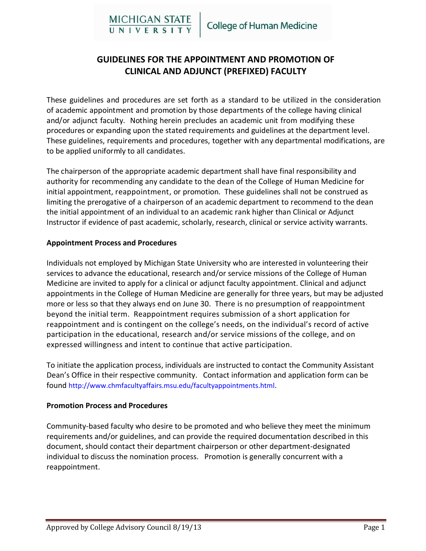# **GUIDELINES FOR THE APPOINTMENT AND PROMOTION OF CLINICAL AND ADJUNCT (PREFIXED) FACULTY**

These guidelines and procedures are set forth as a standard to be utilized in the consideration of academic appointment and promotion by those departments of the college having clinical and/or adjunct faculty. Nothing herein precludes an academic unit from modifying these procedures or expanding upon the stated requirements and guidelines at the department level. These guidelines, requirements and procedures, together with any departmental modifications, are to be applied uniformly to all candidates.

The chairperson of the appropriate academic department shall have final responsibility and authority for recommending any candidate to the dean of the College of Human Medicine for initial appointment, reappointment, or promotion. These guidelines shall not be construed as limiting the prerogative of a chairperson of an academic department to recommend to the dean the initial appointment of an individual to an academic rank higher than Clinical or Adjunct Instructor if evidence of past academic, scholarly, research, clinical or service activity warrants.

## **Appointment Process and Procedures**

Individuals not employed by Michigan State University who are interested in volunteering their services to advance the educational, research and/or service missions of the College of Human Medicine are invited to apply for a clinical or adjunct faculty appointment. Clinical and adjunct appointments in the College of Human Medicine are generally for three years, but may be adjusted more or less so that they always end on June 30. There is no presumption of reappointment beyond the initial term. Reappointment requires submission of a short application for reappointment and is contingent on the college's needs, on the individual's record of active participation in the educational, research and/or service missions of the college, and on expressed willingness and intent to continue that active participation.

To initiate the application process, individuals are instructed to contact the Community Assistant Dean's Office in their respective community. Contact information and application form can be found http://www.chmfacultyaffairs.msu.edu/facultyappointments.html.

## **Promotion Process and Procedures**

Community-based faculty who desire to be promoted and who believe they meet the minimum requirements and/or guidelines, and can provide the required documentation described in this document, should contact their department chairperson or other department-designated individual to discuss the nomination process. Promotion is generally concurrent with a reappointment.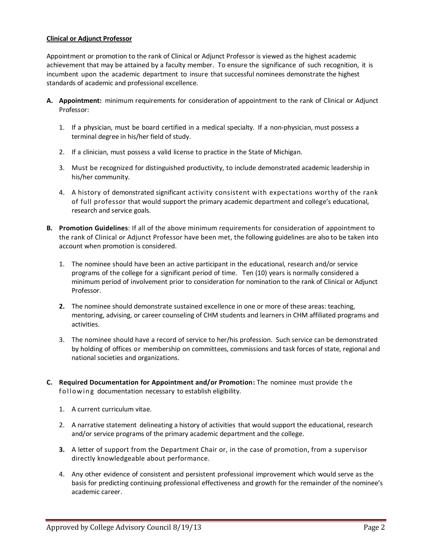#### **Clinical or Adjunct Professor**

Appointment or promotion to the rank of Clinical or Adjunct Professor is viewed as the highest academic achievement that may be attained by a faculty member. To ensure the significance of such recognition, it is incumbent upon the academic department to insure that successful nominees demonstrate the highest standards of academic and professional excellence.

- **A. Appointment:** minimum requirements for consideration of appointment to the rank of Clinical or Adjunct Professor:
	- 1. If a physician, must be board certified in a medical specialty. If a non-physician, must possess a terminal degree in his/her field of study.
	- 2. If a clinician, must possess a valid license to practice in the State of Michigan.
	- 3. Must be recognized for distinguished productivity, to include demonstrated academic leadership in his/her community.
	- 4. A history of demonstrated significant activity consistent with expectations worthy of the rank of full professor that would support the primary academic department and college's educational, research and service goals.
- **B. Promotion Guidelines**: If all of the above minimum requirements for consideration of appointment to the rank of Clinical or Adjunct Professor have been met, the following guidelines are also to be taken into account when promotion is considered.
	- 1. The nominee should have been an active participant in the educational, research and/or service programs of the college for a significant period of time. Ten (10) years is normally considered a minimum period of involvement prior to consideration for nomination to the rank of Clinical or Adjunct Professor.
	- **2.** The nominee should demonstrate sustained excellence in one or more of these areas: teaching, mentoring, advising, or career counseling of CHM students and learners in CHM affiliated programs and activities.
	- 3. The nominee should have a record of service to her/his profession. Such service can be demonstrated by holding of offices or membership on committees, commissions and task forces of state, regional and national societies and organizations.
- **C. Required Documentation for Appointment and/or Promotion:** The nominee must provide t he following documentation necessary to establish eligibility.
	- 1. A current curriculum vitae.
	- 2. A narrative statement delineating a history of activities that would support the educational, research and/or service programs of the primary academic department and the college.
	- **3.** A letter of support from the Department Chair or, in the case of promotion, from a supervisor directly knowledgeable about performance.
	- 4. Any other evidence of consistent and persistent professional improvement which would serve as the basis for predicting continuing professional effectiveness and growth for the remainder of the nominee's academic career.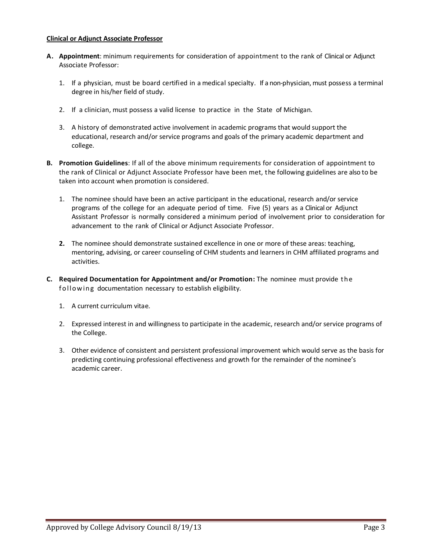#### **Clinical or Adjunct Associate Professor**

- **A. Appointment**: minimum requirements for consideration of appointment to the rank of Clinical or Adjunct Associate Professor:
	- 1. If a physician, must be board certified in a medical specialty. If a non-physician, must possess a terminal degree in his/her field of study.
	- 2. If a clinician, must possess a valid license to practice in the State of Michigan.
	- 3. A history of demonstrated active involvement in academic programs that would support the educational, research and/or service programs and goals of the primary academic department and college.
- **B. Promotion Guidelines**: If all of the above minimum requirements for consideration of appointment to the rank of Clinical or Adjunct Associate Professor have been met, the following guidelines are also to be taken into account when promotion is considered.
	- 1. The nominee should have been an active participant in the educational, research and/or service programs of the college for an adequate period of time. Five (5) years as a Clinical or Adjunct Assistant Professor is normally considered a minimum period of involvement prior to consideration for advancement to the rank of Clinical or Adjunct Associate Professor.
	- **2.** The nominee should demonstrate sustained excellence in one or more of these areas: teaching, mentoring, advising, or career counseling of CHM students and learners in CHM affiliated programs and activities.
- **C. Required Documentation for Appointment and/or Promotion:** The nominee must provide t he following documentation necessary to establish eligibility.
	- 1. A current curriculum vitae.
	- 2. Expressed interest in and willingness to participate in the academic, research and/or service programs of the College.
	- 3. Other evidence of consistent and persistent professional improvement which would serve as the basis for predicting continuing professional effectiveness and growth for the remainder of the nominee's academic career.